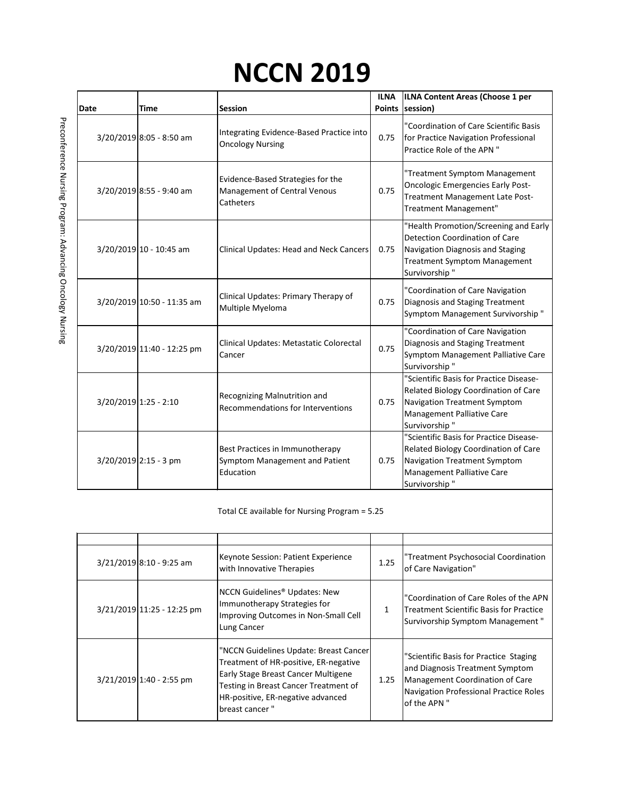## **NCCN 2019**

|             |                            |                                                                                | <b>ILNA</b>   | ILNA Content Areas (Choose 1 per                                                                                                                                           |
|-------------|----------------------------|--------------------------------------------------------------------------------|---------------|----------------------------------------------------------------------------------------------------------------------------------------------------------------------------|
| <b>Date</b> | <b>Time</b>                | <b>Session</b>                                                                 | <b>Points</b> | session)                                                                                                                                                                   |
|             | 3/20/2019 8:05 - 8:50 am   | Integrating Evidence-Based Practice into<br><b>Oncology Nursing</b>            | 0.75          | "Coordination of Care Scientific Basis<br>for Practice Navigation Professional<br>Practice Role of the APN "                                                               |
|             | 3/20/2019 8:55 - 9:40 am   | Evidence-Based Strategies for the<br>Management of Central Venous<br>Catheters | 0.75          | "Treatment Symptom Management<br><b>Oncologic Emergencies Early Post-</b><br>Treatment Management Late Post-<br>Treatment Management"                                      |
|             | 3/20/2019 10 - 10:45 am    | Clinical Updates: Head and Neck Cancers                                        | 0.75          | "Health Promotion/Screening and Early<br><b>Detection Coordination of Care</b><br>Navigation Diagnosis and Staging<br><b>Treatment Symptom Management</b><br>Survivorship" |
|             | 3/20/2019 10:50 - 11:35 am | Clinical Updates: Primary Therapy of<br>Multiple Myeloma                       | 0.75          | "Coordination of Care Navigation<br>Diagnosis and Staging Treatment<br>Symptom Management Survivorship"                                                                    |
|             | 3/20/2019 11:40 - 12:25 pm | Clinical Updates: Metastatic Colorectal<br>Cancer                              | 0.75          | "Coordination of Care Navigation<br>Diagnosis and Staging Treatment<br>Symptom Management Palliative Care<br>Survivorship"                                                 |
|             | $3/20/2019$ 1:25 - 2:10    | Recognizing Malnutrition and<br><b>Recommendations for Interventions</b>       | 0.75          | "Scientific Basis for Practice Disease-<br>Related Biology Coordination of Care<br>Navigation Treatment Symptom<br>Management Palliative Care<br>Survivorship"             |
|             | $3/20/2019$ 2:15 - 3 pm    | Best Practices in Immunotherapy<br>Symptom Management and Patient<br>Education | 0.75          | "Scientific Basis for Practice Disease-<br>Related Biology Coordination of Care<br>Navigation Treatment Symptom<br>Management Palliative Care<br>Survivorship"             |

Total CE available for Nursing Program = 5.25

| 3/21/2019 8:10 - 9:25 am   | Keynote Session: Patient Experience<br>with Innovative Therapies                                                                                                                                                       | 1.25         | "Treatment Psychosocial Coordination<br>of Care Navigation"                                                                                                                   |
|----------------------------|------------------------------------------------------------------------------------------------------------------------------------------------------------------------------------------------------------------------|--------------|-------------------------------------------------------------------------------------------------------------------------------------------------------------------------------|
| 3/21/2019 11:25 - 12:25 pm | NCCN Guidelines <sup>®</sup> Updates: New<br>Immunotherapy Strategies for<br>Improving Outcomes in Non-Small Cell<br>Lung Cancer                                                                                       | $\mathbf{1}$ | "Coordination of Care Roles of the APN<br>Treatment Scientific Basis for Practice<br>Survivorship Symptom Management"                                                         |
| $3/21/2019$ 1:40 - 2:55 pm | "NCCN Guidelines Update: Breast Cancer<br>Treatment of HR-positive, ER-negative<br>Early Stage Breast Cancer Multigene<br>Testing in Breast Cancer Treatment of<br>HR-positive, ER-negative advanced<br>breast cancer" | 1.25         | "Scientific Basis for Practice Staging<br>and Diagnosis Treatment Symptom<br>Management Coordination of Care<br><b>Navigation Professional Practice Roles</b><br>of the APN " |

Preconference Nursing Program: Advancing Oncology Nursing Preconference Nursing Program: Advancing Oncology Nursing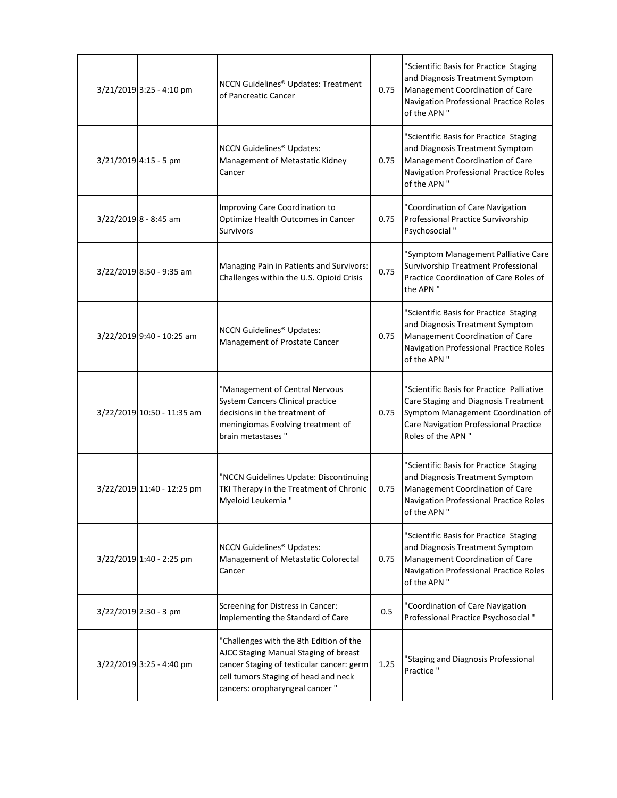| $3/21/2019$ 3:25 - 4:10 pm | <b>NCCN Guidelines® Updates: Treatment</b><br>of Pancreatic Cancer                                                                                                                                       | 0.75 | "Scientific Basis for Practice Staging<br>and Diagnosis Treatment Symptom<br>Management Coordination of Care<br><b>Navigation Professional Practice Roles</b><br>of the APN "          |
|----------------------------|----------------------------------------------------------------------------------------------------------------------------------------------------------------------------------------------------------|------|----------------------------------------------------------------------------------------------------------------------------------------------------------------------------------------|
| $3/21/2019$ 4:15 - 5 pm    | <b>NCCN Guidelines<sup>®</sup> Updates:</b><br>Management of Metastatic Kidney<br>Cancer                                                                                                                 | 0.75 | "Scientific Basis for Practice Staging<br>and Diagnosis Treatment Symptom<br>Management Coordination of Care<br>Navigation Professional Practice Roles<br>of the APN "                 |
| $3/22/2019$ 8 - 8:45 am    | Improving Care Coordination to<br>Optimize Health Outcomes in Cancer<br><b>Survivors</b>                                                                                                                 | 0.75 | "Coordination of Care Navigation<br>Professional Practice Survivorship<br>Psychosocial "                                                                                               |
| $3/22/2019$ 8:50 - 9:35 am | Managing Pain in Patients and Survivors:<br>Challenges within the U.S. Opioid Crisis                                                                                                                     | 0.75 | "Symptom Management Palliative Care<br>Survivorship Treatment Professional<br>Practice Coordination of Care Roles of<br>the APN "                                                      |
| 3/22/2019 9:40 - 10:25 am  | <b>NCCN Guidelines<sup>®</sup> Updates:</b><br>Management of Prostate Cancer                                                                                                                             | 0.75 | "Scientific Basis for Practice Staging<br>and Diagnosis Treatment Symptom<br>Management Coordination of Care<br>Navigation Professional Practice Roles<br>of the APN "                 |
| 3/22/2019 10:50 - 11:35 am | "Management of Central Nervous<br>System Cancers Clinical practice<br>decisions in the treatment of<br>meningiomas Evolving treatment of<br>brain metastases"                                            | 0.75 | "Scientific Basis for Practice Palliative<br>Care Staging and Diagnosis Treatment<br>Symptom Management Coordination of<br>Care Navigation Professional Practice<br>Roles of the APN " |
| 3/22/2019 11:40 - 12:25 pm | "NCCN Guidelines Update: Discontinuing<br>TKI Therapy in the Treatment of Chronic<br>Myeloid Leukemia "                                                                                                  | 0.75 | "Scientific Basis for Practice Staging<br>and Diagnosis Treatment Symptom<br>Management Coordination of Care<br>Navigation Professional Practice Roles<br>of the APN "                 |
| 3/22/2019 1:40 - 2:25 pm   | <b>NCCN Guidelines<sup>®</sup> Updates:</b><br>Management of Metastatic Colorectal<br>Cancer                                                                                                             | 0.75 | "Scientific Basis for Practice Staging<br>and Diagnosis Treatment Symptom<br>Management Coordination of Care<br>Navigation Professional Practice Roles<br>of the APN "                 |
| 3/22/2019 2:30 - 3 pm      | Screening for Distress in Cancer:<br>Implementing the Standard of Care                                                                                                                                   | 0.5  | "Coordination of Care Navigation<br>Professional Practice Psychosocial "                                                                                                               |
| $3/22/2019$ 3:25 - 4:40 pm | "Challenges with the 8th Edition of the<br>AJCC Staging Manual Staging of breast<br>cancer Staging of testicular cancer: germ<br>cell tumors Staging of head and neck<br>cancers: oropharyngeal cancer " | 1.25 | "Staging and Diagnosis Professional<br>Practice "                                                                                                                                      |